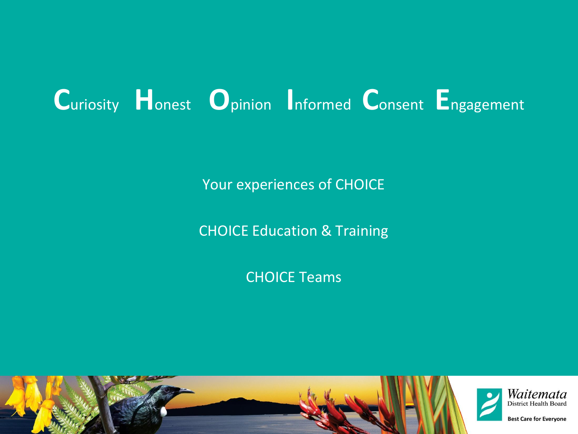# **C**uriosity **H**onest **O**pinion **I**nformed **C**onsent **E**ngagement

Your experiences of CHOICE

CHOICE Education & Training

CHOICE Teams

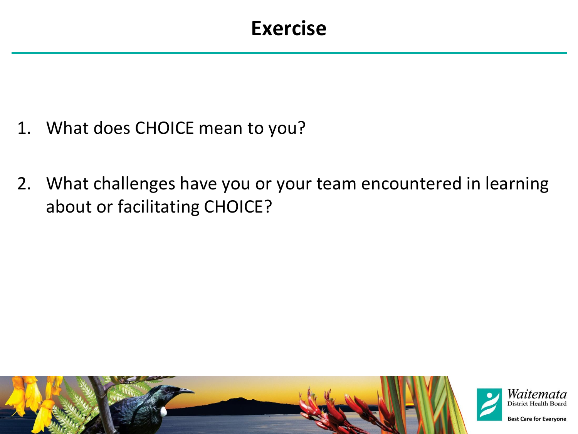### **Exercise**

- 1. What does CHOICE mean to you?
- 2. What challenges have you or your team encountered in learning about or facilitating CHOICE?

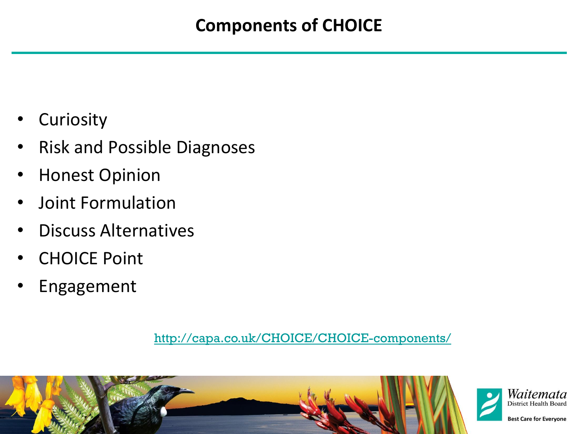- **Curiosity**
- Risk and Possible Diagnoses
- Honest Opinion
- Joint Formulation
- Discuss Alternatives
- **CHOICE Point**
- **Engagement**

#### http://capa.co.uk/CHOICE/CHOICE-components/





**Best Care for Everyone**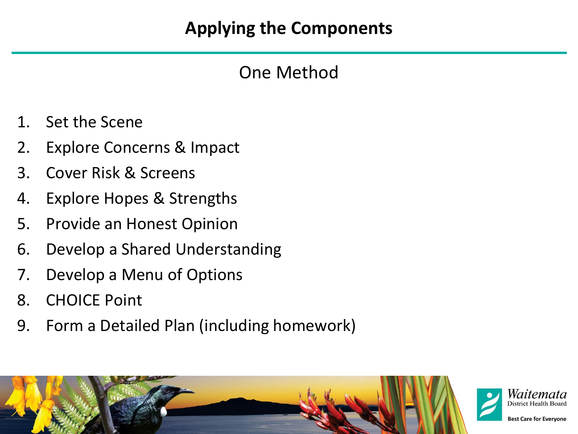#### **Applying the Components**

#### One Method

- 1. Set the Scene
- 2. Explore Concerns & Impact
- 3. Cover Risk & Screens
- 4. Explore Hopes & Strengths
- 5. Provide an Honest Opinion
- 6. Develop a Shared Understanding
- 7. Develop a Menu of Options
- 8. CHOICE Point
- 9. Form a Detailed Plan (including homework)

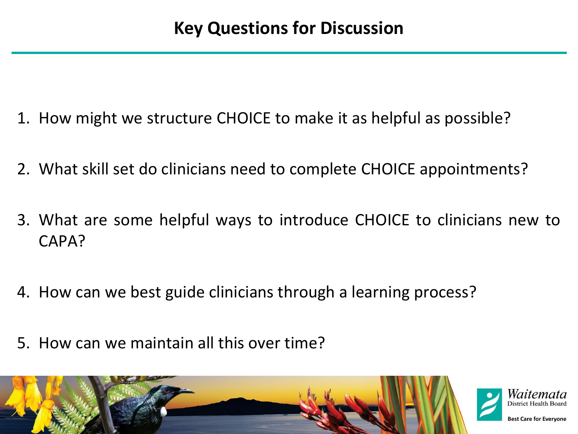- 1. How might we structure CHOICE to make it as helpful as possible?
- 2. What skill set do clinicians need to complete CHOICE appointments?
- 3. What are some helpful ways to introduce CHOICE to clinicians new to CAPA?
- 4. How can we best guide clinicians through a learning process?
- 5. How can we maintain all this over time?





**Best Care for Evervone**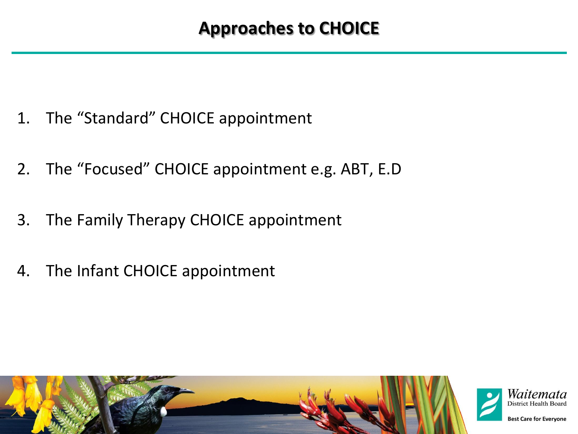- 1. The "Standard" CHOICE appointment
- 2. The "Focused" CHOICE appointment e.g. ABT, E.D
- 3. The Family Therapy CHOICE appointment
- 4. The Infant CHOICE appointment

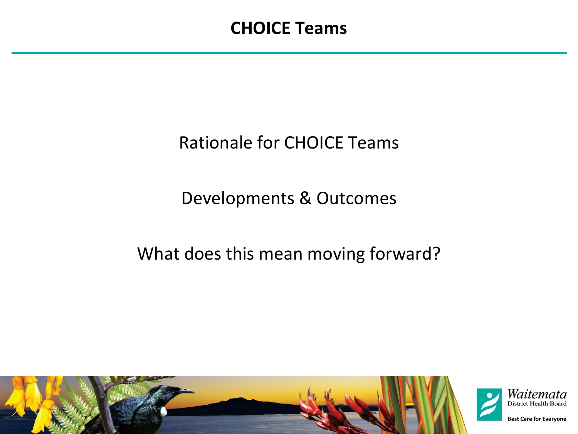### Rationale for CHOICE Teams

#### Developments & Outcomes

### What does this mean moving forward?

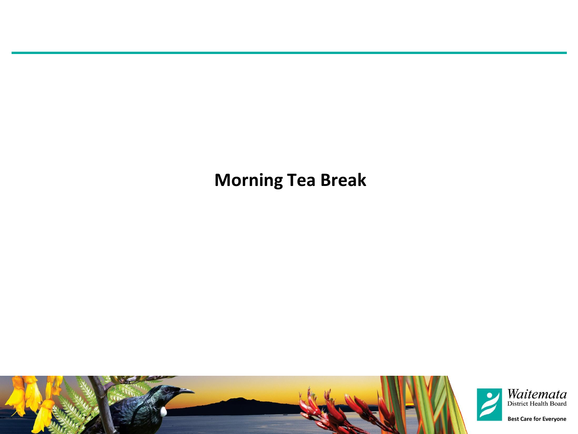#### **Morning Tea Break**

![](_page_7_Picture_1.jpeg)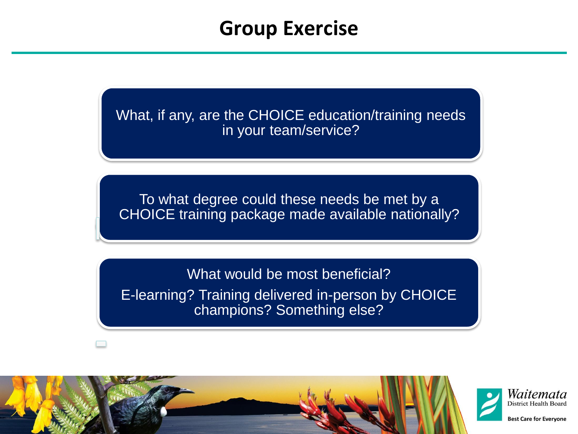### **Group Exercise**

What, if any, are the CHOICE education/training needs in your team/service?

To what degree could these needs be met by a CHOICE training package made available nationally?

What would be most beneficial? E-learning? Training delivered in-person by CHOICE champions? Something else?

![](_page_8_Picture_4.jpeg)

![](_page_8_Picture_5.jpeg)

**Best Care for Evervone**